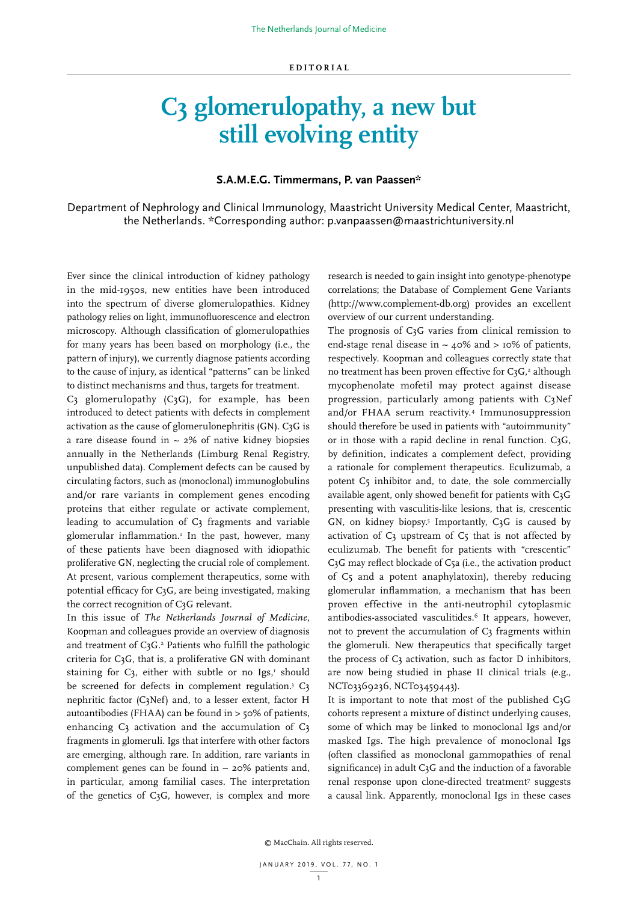## **C3 glomerulopathy, a new but still evolving entity**

## **S.A.M.E.G. Timmermans, P. van Paassen\***

Department of Nephrology and Clinical Immunology, Maastricht University Medical Center, Maastricht, the Netherlands. \*Corresponding author: p.vanpaassen@maastrichtuniversity.nl

Ever since the clinical introduction of kidney pathology in the mid-1950s, new entities have been introduced into the spectrum of diverse glomerulopathies. Kidney pathology relies on light, immunofluorescence and electron microscopy. Although classification of glomerulopathies for many years has been based on morphology (i.e., the pattern of injury), we currently diagnose patients according to the cause of injury, as identical "patterns" can be linked to distinct mechanisms and thus, targets for treatment.

 $C_3$  glomerulopathy  $(C_3G)$ , for example, has been introduced to detect patients with defects in complement activation as the cause of glomerulonephritis (GN). C3G is a rare disease found in  $\sim$  2% of native kidney biopsies annually in the Netherlands (Limburg Renal Registry, unpublished data). Complement defects can be caused by circulating factors, such as (monoclonal) immunoglobulins and/or rare variants in complement genes encoding proteins that either regulate or activate complement, leading to accumulation of C3 fragments and variable glomerular inflammation.1 In the past, however, many of these patients have been diagnosed with idiopathic proliferative GN, neglecting the crucial role of complement. At present, various complement therapeutics, some with potential efficacy for C3G, are being investigated, making the correct recognition of C3G relevant.

In this issue of *The Netherlands Journal of Medicine*, Koopman and colleagues provide an overview of diagnosis and treatment of  $C_3G$ .<sup>2</sup> Patients who fulfill the pathologic criteria for C3G, that is, a proliferative GN with dominant staining for  $C_3$ , either with subtle or no  $Igs$ ,<sup>1</sup> should be screened for defects in complement regulation.<sup>3</sup> C<sub>3</sub> nephritic factor (C3Nef) and, to a lesser extent, factor H autoantibodies (FHAA) can be found in > 50% of patients, enhancing  $C_3$  activation and the accumulation of  $C_3$ fragments in glomeruli. Igs that interfere with other factors are emerging, although rare. In addition, rare variants in complement genes can be found in  $\sim$  20% patients and, in particular, among familial cases. The interpretation of the genetics of C3G, however, is complex and more

research is needed to gain insight into genotype-phenotype correlations; the Database of Complement Gene Variants (http://www.complement-db.org) provides an excellent overview of our current understanding.

The prognosis of C<sub>3</sub>G varies from clinical remission to end-stage renal disease in  $\sim$  40% and  $>$  10% of patients, respectively. Koopman and colleagues correctly state that no treatment has been proven effective for  $C_3G$ ,<sup>2</sup> although mycophenolate mofetil may protect against disease progression, particularly among patients with C3Nef and/or FHAA serum reactivity.4 Immunosuppression should therefore be used in patients with "autoimmunity" or in those with a rapid decline in renal function. C3G, by definition, indicates a complement defect, providing a rationale for complement therapeutics. Eculizumab, a potent C5 inhibitor and, to date, the sole commercially available agent, only showed benefit for patients with C3G presenting with vasculitis-like lesions, that is, crescentic GN, on kidney biopsy.<sup>5</sup> Importantly,  $C_3G$  is caused by activation of C3 upstream of C5 that is not affected by eculizumab. The benefit for patients with "crescentic" C3G may reflect blockade of C5a (i.e., the activation product of C5 and a potent anaphylatoxin), thereby reducing glomerular inflammation, a mechanism that has been proven effective in the anti-neutrophil cytoplasmic antibodies-associated vasculitides.6 It appears, however, not to prevent the accumulation of  $C<sub>3</sub>$  fragments within the glomeruli. New therapeutics that specifically target the process of C3 activation, such as factor D inhibitors, are now being studied in phase II clinical trials (e.g., NCT03369236, NCT03459443).

It is important to note that most of the published C3G cohorts represent a mixture of distinct underlying causes, some of which may be linked to monoclonal Igs and/or masked Igs. The high prevalence of monoclonal Igs (often classified as monoclonal gammopathies of renal significance) in adult C<sub>3</sub>G and the induction of a favorable renal response upon clone-directed treatment<sup>7</sup> suggests a causal link. Apparently, monoclonal Igs in these cases

© MacChain. All rights reserved.